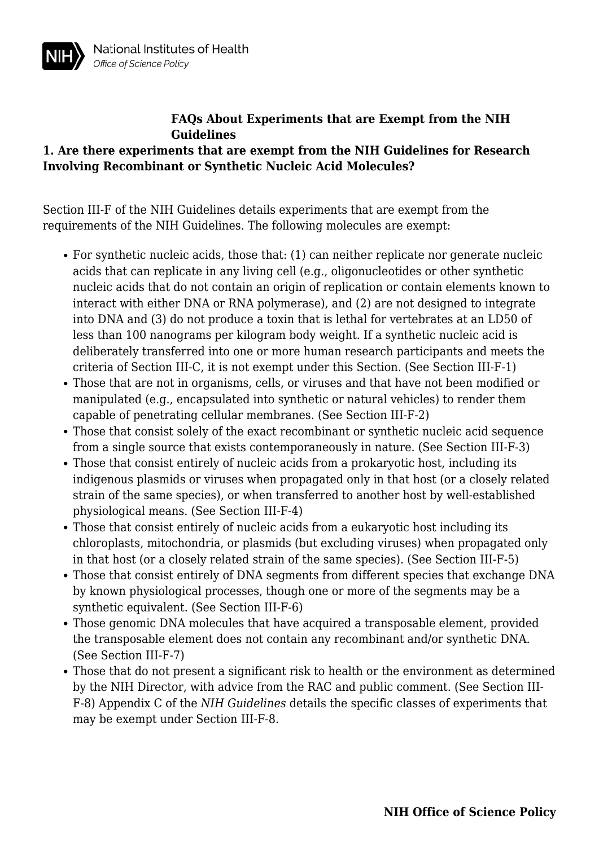# **1. Are there experiments that are exempt from the NIH Guidelines for Research Involving Recombinant or Synthetic Nucleic Acid Molecules?**

Section III-F of the NIH Guidelines details experiments that are exempt from the requirements of the NIH Guidelines. The following molecules are exempt:

- For synthetic nucleic acids, those that: (1) can neither replicate nor generate nucleic acids that can replicate in any living cell (e.g., oligonucleotides or other synthetic nucleic acids that do not contain an origin of replication or contain elements known to interact with either DNA or RNA polymerase), and (2) are not designed to integrate into DNA and (3) do not produce a toxin that is lethal for vertebrates at an LD50 of less than 100 nanograms per kilogram body weight. If a synthetic nucleic acid is deliberately transferred into one or more human research participants and meets the criteria of Section III-C, it is not exempt under this Section. (See Section III-F-1)
- Those that are not in organisms, cells, or viruses and that have not been modified or manipulated (e.g., encapsulated into synthetic or natural vehicles) to render them capable of penetrating cellular membranes. (See Section III-F-2)
- Those that consist solely of the exact recombinant or synthetic nucleic acid sequence from a single source that exists contemporaneously in nature. (See Section III-F-3)
- Those that consist entirely of nucleic acids from a prokaryotic host, including its indigenous plasmids or viruses when propagated only in that host (or a closely related strain of the same species), or when transferred to another host by well-established physiological means. (See Section III-F-4)
- Those that consist entirely of nucleic acids from a eukaryotic host including its chloroplasts, mitochondria, or plasmids (but excluding viruses) when propagated only in that host (or a closely related strain of the same species). (See Section III-F-5)
- Those that consist entirely of DNA segments from different species that exchange DNA by known physiological processes, though one or more of the segments may be a synthetic equivalent. (See Section III-F-6)
- Those genomic DNA molecules that have acquired a transposable element, provided the transposable element does not contain any recombinant and/or synthetic DNA. (See Section III-F-7)
- Those that do not present a significant risk to health or the environment as determined by the NIH Director, with advice from the RAC and public comment. (See Section III-F-8) Appendix C of the *NIH Guidelines* details the specific classes of experiments that may be exempt under Section III-F-8.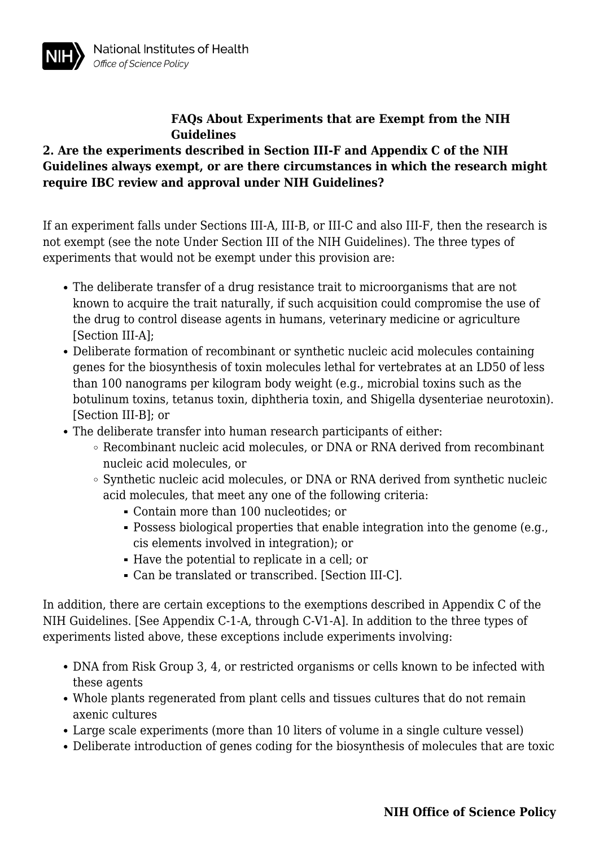### **2. Are the experiments described in Section III-F and Appendix C of the NIH Guidelines always exempt, or are there circumstances in which the research might require IBC review and approval under NIH Guidelines?**

If an experiment falls under Sections III-A, III-B, or III-C and also III-F, then the research is not exempt (see the note Under Section III of the NIH Guidelines). The three types of experiments that would not be exempt under this provision are:

- The deliberate transfer of a drug resistance trait to microorganisms that are not known to acquire the trait naturally, if such acquisition could compromise the use of the drug to control disease agents in humans, veterinary medicine or agriculture [Section III-A]:
- Deliberate formation of recombinant or synthetic nucleic acid molecules containing genes for the biosynthesis of toxin molecules lethal for vertebrates at an LD50 of less than 100 nanograms per kilogram body weight (e.g., microbial toxins such as the botulinum toxins, tetanus toxin, diphtheria toxin, and Shigella dysenteriae neurotoxin). [Section III-B]; or
- The deliberate transfer into human research participants of either:
	- Recombinant nucleic acid molecules, or DNA or RNA derived from recombinant nucleic acid molecules, or
	- Synthetic nucleic acid molecules, or DNA or RNA derived from synthetic nucleic acid molecules, that meet any one of the following criteria:
		- Contain more than 100 nucleotides; or
		- Possess biological properties that enable integration into the genome (e.g., cis elements involved in integration); or
		- Have the potential to replicate in a cell; or
		- Can be translated or transcribed. [Section III-C].

In addition, there are certain exceptions to the exemptions described in Appendix C of the NIH Guidelines. [See Appendix C-1-A, through C-V1-A]. In addition to the three types of experiments listed above, these exceptions include experiments involving:

- DNA from Risk Group 3, 4, or restricted organisms or cells known to be infected with these agents
- Whole plants regenerated from plant cells and tissues cultures that do not remain axenic cultures
- Large scale experiments (more than 10 liters of volume in a single culture vessel)
- Deliberate introduction of genes coding for the biosynthesis of molecules that are toxic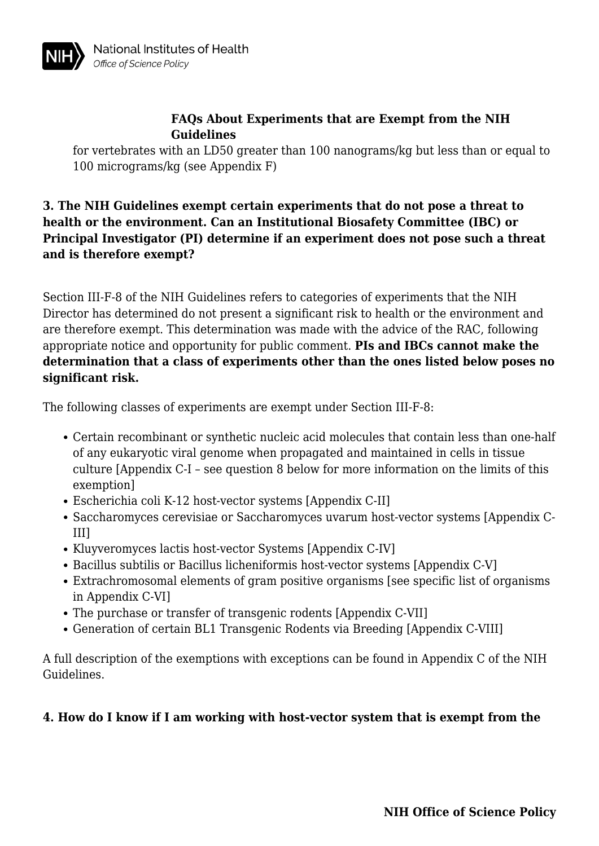

for vertebrates with an LD50 greater than 100 nanograms/kg but less than or equal to 100 micrograms/kg (see Appendix F)

# **3. The NIH Guidelines exempt certain experiments that do not pose a threat to health or the environment. Can an Institutional Biosafety Committee (IBC) or Principal Investigator (PI) determine if an experiment does not pose such a threat and is therefore exempt?**

Section III-F-8 of the NIH Guidelines refers to categories of experiments that the NIH Director has determined do not present a significant risk to health or the environment and are therefore exempt. This determination was made with the advice of the RAC, following appropriate notice and opportunity for public comment. **PIs and IBCs cannot make the determination that a class of experiments other than the ones listed below poses no significant risk.**

The following classes of experiments are exempt under Section III-F-8:

- Certain recombinant or synthetic nucleic acid molecules that contain less than one-half of any eukaryotic viral genome when propagated and maintained in cells in tissue culture [Appendix C-I – see question 8 below for more information on the limits of this exemption]
- Escherichia coli K-12 host-vector systems [Appendix C-II]
- Saccharomyces cerevisiae or Saccharomyces uvarum host-vector systems [Appendix C-III]
- Kluyveromyces lactis host-vector Systems [Appendix C-IV]
- Bacillus subtilis or Bacillus licheniformis host-vector systems [Appendix C-V]
- Extrachromosomal elements of gram positive organisms [see specific list of organisms in Appendix C-VI]
- The purchase or transfer of transgenic rodents [Appendix C-VII]
- Generation of certain BL1 Transgenic Rodents via Breeding [Appendix C-VIII]

A full description of the exemptions with exceptions can be found in Appendix C of the NIH Guidelines.

### **4. How do I know if I am working with host-vector system that is exempt from the**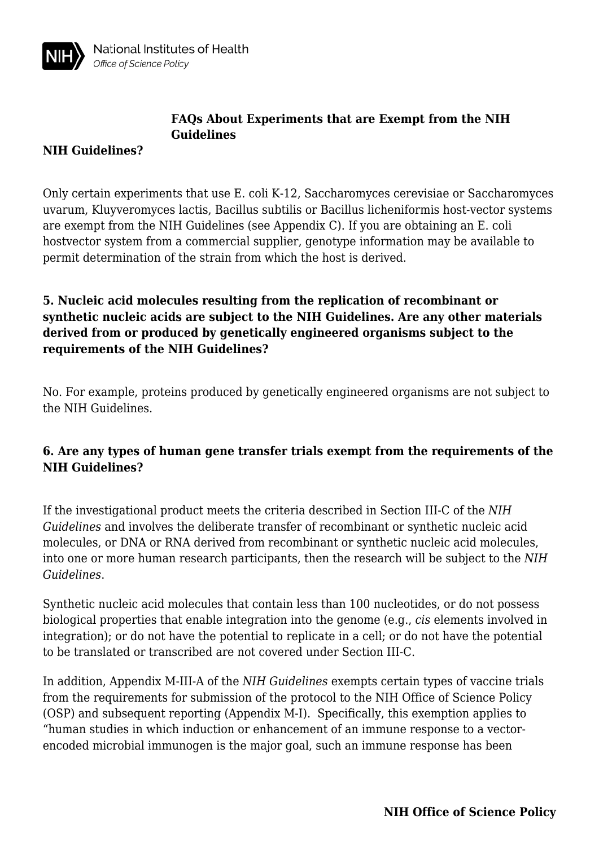

#### **NIH Guidelines?**

Only certain experiments that use E. coli K-12, Saccharomyces cerevisiae or Saccharomyces uvarum, Kluyveromyces lactis, Bacillus subtilis or Bacillus licheniformis host-vector systems are exempt from the NIH Guidelines (see Appendix C). If you are obtaining an E. coli hostvector system from a commercial supplier, genotype information may be available to permit determination of the strain from which the host is derived.

# **5. Nucleic acid molecules resulting from the replication of recombinant or synthetic nucleic acids are subject to the NIH Guidelines. Are any other materials derived from or produced by genetically engineered organisms subject to the requirements of the NIH Guidelines?**

No. For example, proteins produced by genetically engineered organisms are not subject to the NIH Guidelines.

# **6. Are any types of human gene transfer trials exempt from the requirements of the NIH Guidelines?**

If the investigational product meets the criteria described in Section III-C of the *NIH Guidelines* and involves the deliberate transfer of recombinant or synthetic nucleic acid molecules, or DNA or RNA derived from recombinant or synthetic nucleic acid molecules, into one or more human research participants, then the research will be subject to the *NIH Guidelines*.

Synthetic nucleic acid molecules that contain less than 100 nucleotides, or do not possess biological properties that enable integration into the genome (e.g., *cis* elements involved in integration); or do not have the potential to replicate in a cell; or do not have the potential to be translated or transcribed are not covered under Section III-C.

In addition, Appendix M-III-A of the *NIH Guidelines* exempts certain types of vaccine trials from the requirements for submission of the protocol to the NIH Office of Science Policy (OSP) and subsequent reporting (Appendix M-I). Specifically, this exemption applies to "human studies in which induction or enhancement of an immune response to a vectorencoded microbial immunogen is the major goal, such an immune response has been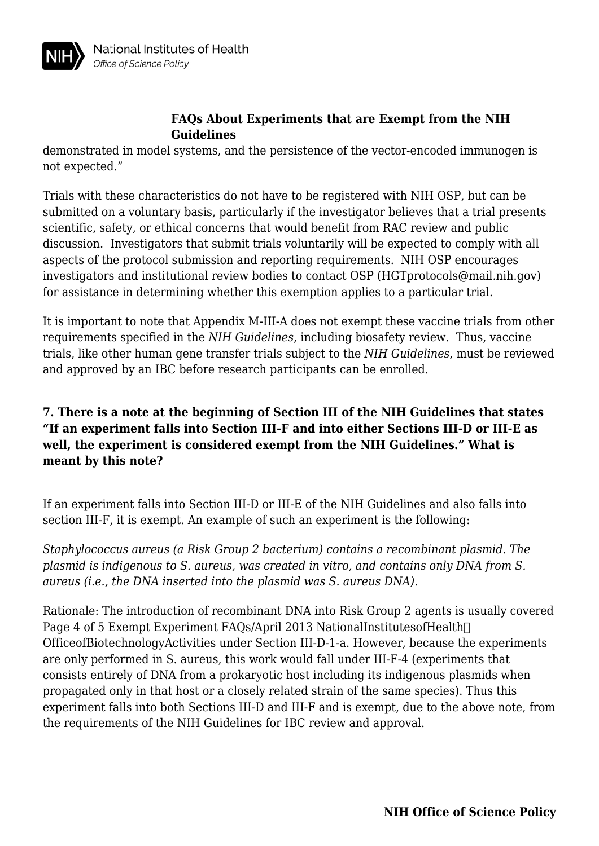

demonstrated in model systems, and the persistence of the vector-encoded immunogen is not expected."

Trials with these characteristics do not have to be registered with NIH OSP, but can be submitted on a voluntary basis, particularly if the investigator believes that a trial presents scientific, safety, or ethical concerns that would benefit from RAC review and public discussion. Investigators that submit trials voluntarily will be expected to comply with all aspects of the protocol submission and reporting requirements. NIH OSP encourages investigators and institutional review bodies to contact OSP (HGTprotocols@mail.nih.gov) for assistance in determining whether this exemption applies to a particular trial.

It is important to note that Appendix M-III-A does not exempt these vaccine trials from other requirements specified in the *NIH Guidelines*, including biosafety review. Thus, vaccine trials, like other human gene transfer trials subject to the *NIH Guidelines*, must be reviewed and approved by an IBC before research participants can be enrolled.

# **7. There is a note at the beginning of Section III of the NIH Guidelines that states "If an experiment falls into Section III-F and into either Sections III-D or III-E as well, the experiment is considered exempt from the NIH Guidelines." What is meant by this note?**

If an experiment falls into Section III-D or III-E of the NIH Guidelines and also falls into section III-F, it is exempt. An example of such an experiment is the following:

*Staphylococcus aureus (a Risk Group 2 bacterium) contains a recombinant plasmid. The plasmid is indigenous to S. aureus, was created in vitro, and contains only DNA from S. aureus (i.e., the DNA inserted into the plasmid was S. aureus DNA).* 

Rationale: The introduction of recombinant DNA into Risk Group 2 agents is usually covered Page 4 of 5 Exempt Experiment FAQs/April 2013 NationalInstitutesofHealth OfficeofBiotechnologyActivities under Section III-D-1-a. However, because the experiments are only performed in S. aureus, this work would fall under III-F-4 (experiments that consists entirely of DNA from a prokaryotic host including its indigenous plasmids when propagated only in that host or a closely related strain of the same species). Thus this experiment falls into both Sections III-D and III-F and is exempt, due to the above note, from the requirements of the NIH Guidelines for IBC review and approval.